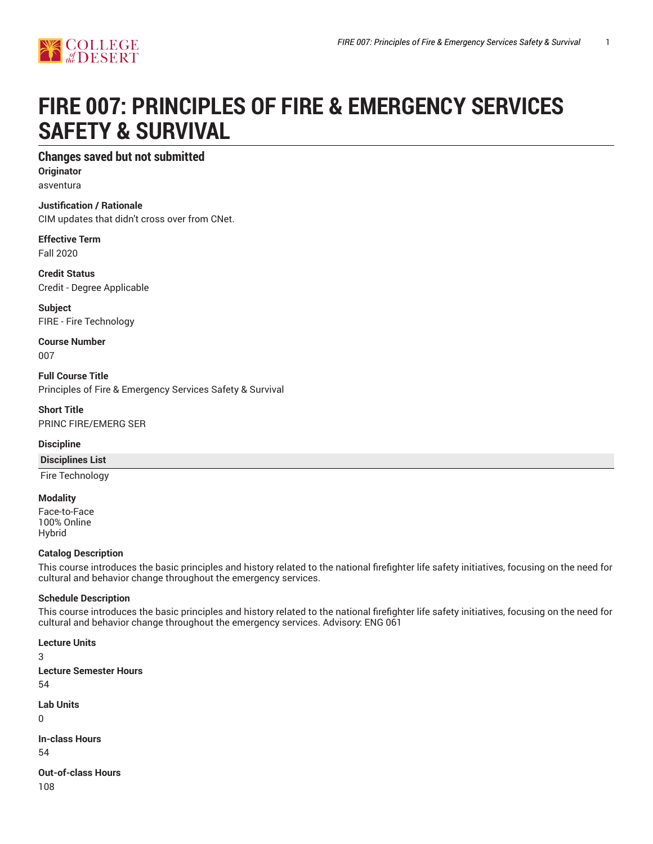

# **FIRE 007: PRINCIPLES OF FIRE & EMERGENCY SERVICES SAFETY & SURVIVAL**

# **Changes saved but not submitted**

**Originator** asventura

## **Justification / Rationale**

CIM updates that didn't cross over from CNet.

#### **Effective Term** Fall 2020

**Credit Status** Credit - Degree Applicable

**Subject** FIRE - Fire Technology

**Course Number** 007

**Full Course Title** Principles of Fire & Emergency Services Safety & Survival

#### **Short Title** PRINC FIRE/EMERG SER

## **Discipline**

## **Disciplines List**

Fire Technology

#### **Modality**

Face-to-Face 100% Online Hybrid

## **Catalog Description**

This course introduces the basic principles and history related to the national firefighter life safety initiatives, focusing on the need for cultural and behavior change throughout the emergency services.

## **Schedule Description**

This course introduces the basic principles and history related to the national firefighter life safety initiatives, focusing on the need for cultural and behavior change throughout the emergency services. Advisory: ENG 061

**Lecture Units** 3 **Lecture Semester Hours** 54 **Lab Units**  $\Omega$ **In-class Hours** 54 **Out-of-class Hours** 108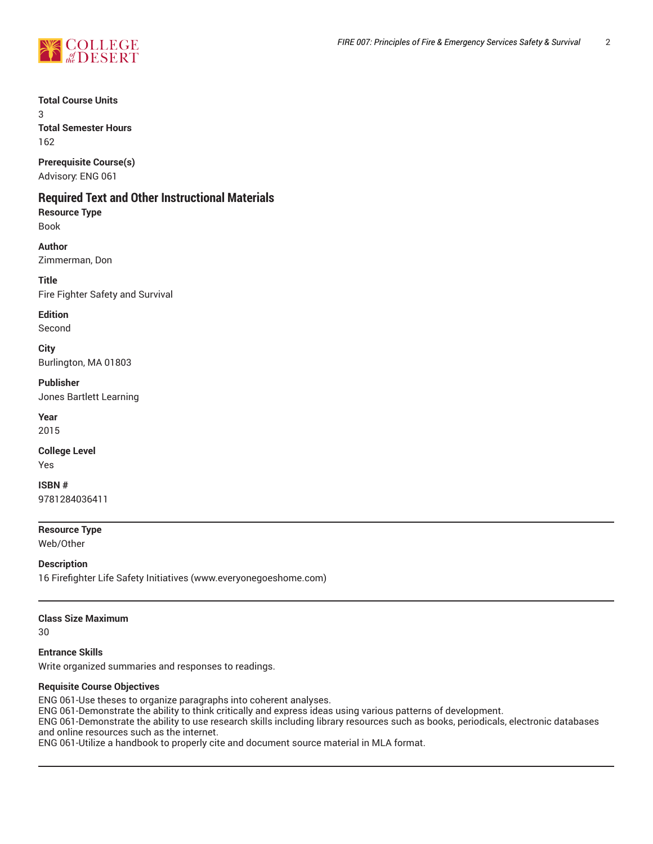

**Total Course Units**

3 **Total Semester Hours** 162

**Prerequisite Course(s)** Advisory: ENG 061

# **Required Text and Other Instructional Materials**

**Resource Type** Book

**Author** Zimmerman, Don

**Title** Fire Fighter Safety and Survival

**Edition** Second

**City** Burlington, MA 01803

**Publisher**

Jones Bartlett Learning

**Year** 2015

**College Level** Yes

**ISBN #** 9781284036411

**Resource Type**

Web/Other

**Description** 16 Firefighter Life Safety Initiatives (www.everyonegoeshome.com)

## **Class Size Maximum**

30

**Entrance Skills** Write organized summaries and responses to readings.

## **Requisite Course Objectives**

ENG 061-Use theses to organize paragraphs into coherent analyses. ENG 061-Demonstrate the ability to think critically and express ideas using various patterns of development. ENG 061-Demonstrate the ability to use research skills including library resources such as books, periodicals, electronic databases and online resources such as the internet. ENG 061-Utilize a handbook to properly cite and document source material in MLA format.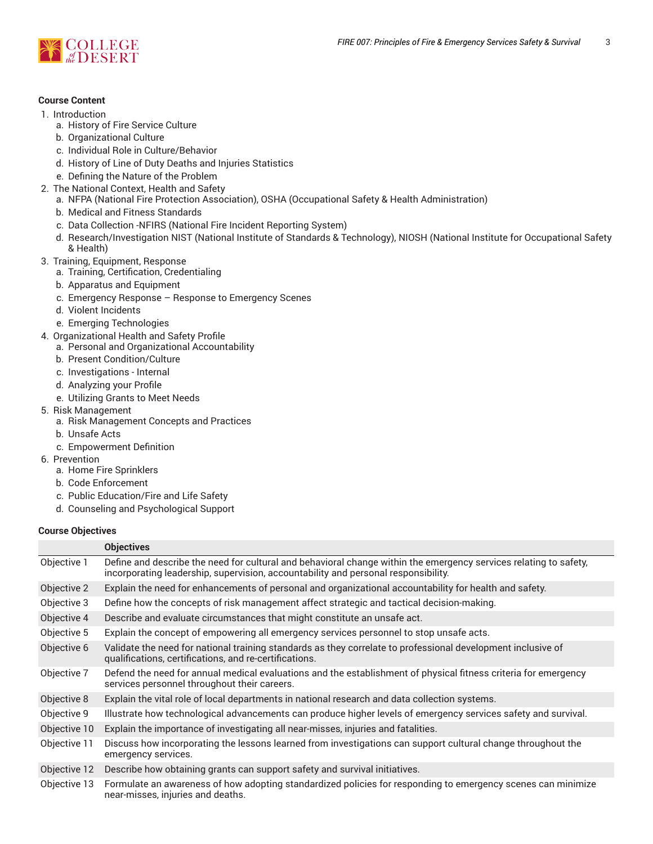

## **Course Content**

- 1. Introduction
	- a. History of Fire Service Culture
	- b. Organizational Culture
	- c. Individual Role in Culture/Behavior
	- d. History of Line of Duty Deaths and Injuries Statistics
	- e. Defining the Nature of the Problem
- 2. The National Context, Health and Safety
	- a. NFPA (National Fire Protection Association), OSHA (Occupational Safety & Health Administration)
	- b. Medical and Fitness Standards
	- c. Data Collection -NFIRS (National Fire Incident Reporting System)
	- d. Research/Investigation NIST (National Institute of Standards & Technology), NIOSH (National Institute for Occupational Safety & Health)
- 3. Training, Equipment, Response
	- a. Training, Certification, Credentialing
	- b. Apparatus and Equipment
	- c. Emergency Response Response to Emergency Scenes
	- d. Violent Incidents
	- e. Emerging Technologies
- 4. Organizational Health and Safety Profile
	- a. Personal and Organizational Accountability
	- b. Present Condition/Culture
	- c. Investigations Internal
	- d. Analyzing your Profile
	- e. Utilizing Grants to Meet Needs
- 5. Risk Management
	- a. Risk Management Concepts and Practices
	- b. Unsafe Acts
	- c. Empowerment Definition
- 6. Prevention
	- a. Home Fire Sprinklers
	- b. Code Enforcement
	- c. Public Education/Fire and Life Safety
	- d. Counseling and Psychological Support

#### **Course Objectives**

|              | <b>Objectives</b>                                                                                                                                                                                       |
|--------------|---------------------------------------------------------------------------------------------------------------------------------------------------------------------------------------------------------|
| Objective 1  | Define and describe the need for cultural and behavioral change within the emergency services relating to safety,<br>incorporating leadership, supervision, accountability and personal responsibility. |
| Objective 2  | Explain the need for enhancements of personal and organizational accountability for health and safety.                                                                                                  |
| Objective 3  | Define how the concepts of risk management affect strategic and tactical decision-making.                                                                                                               |
| Objective 4  | Describe and evaluate circumstances that might constitute an unsafe act.                                                                                                                                |
| Objective 5  | Explain the concept of empowering all emergency services personnel to stop unsafe acts.                                                                                                                 |
| Objective 6  | Validate the need for national training standards as they correlate to professional development inclusive of<br>qualifications, certifications, and re-certifications.                                  |
| Objective 7  | Defend the need for annual medical evaluations and the establishment of physical fitness criteria for emergency<br>services personnel throughout their careers.                                         |
| Objective 8  | Explain the vital role of local departments in national research and data collection systems.                                                                                                           |
| Objective 9  | Illustrate how technological advancements can produce higher levels of emergency services safety and survival.                                                                                          |
| Objective 10 | Explain the importance of investigating all near-misses, injuries and fatalities.                                                                                                                       |
| Objective 11 | Discuss how incorporating the lessons learned from investigations can support cultural change throughout the<br>emergency services.                                                                     |
| Objective 12 | Describe how obtaining grants can support safety and survival initiatives.                                                                                                                              |
| Objective 13 | Formulate an awareness of how adopting standardized policies for responding to emergency scenes can minimize<br>near-misses, injuries and deaths.                                                       |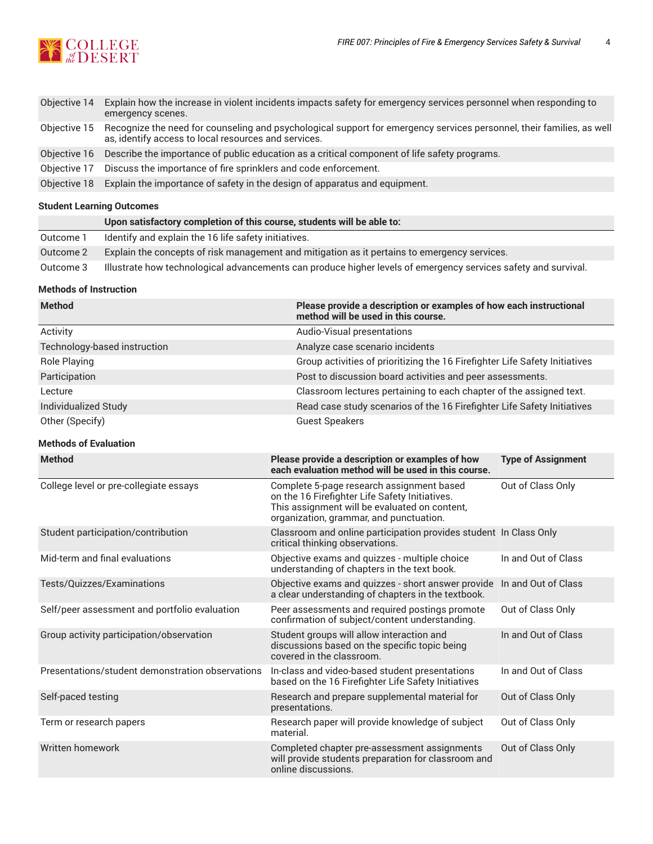

| Objective 14 | Explain how the increase in violent incidents impacts safety for emergency services personnel when responding to<br>emergency scenes.                                         |
|--------------|-------------------------------------------------------------------------------------------------------------------------------------------------------------------------------|
| Objective 15 | Recognize the need for counseling and psychological support for emergency services personnel, their families, as well<br>as, identify access to local resources and services. |
|              | Objective 16 Describe the importance of public education as a critical component of life safety programs.                                                                     |
| Objective 17 | Discuss the importance of fire sprinklers and code enforcement.                                                                                                               |
| Objective 18 | Explain the importance of safety in the design of apparatus and equipment.                                                                                                    |
|              |                                                                                                                                                                               |

# **Student Learning Outcomes**

|           | Upon satisfactory completion of this course, students will be able to:                                         |
|-----------|----------------------------------------------------------------------------------------------------------------|
| Outcome 1 | Identify and explain the 16 life safety initiatives.                                                           |
| Outcome 2 | Explain the concepts of risk management and mitigation as it pertains to emergency services.                   |
| Outcome 3 | Illustrate how technological advancements can produce higher levels of emergency services safety and survival. |

# **Methods of Instruction**

| <b>Method</b>                | Please provide a description or examples of how each instructional<br>method will be used in this course. |
|------------------------------|-----------------------------------------------------------------------------------------------------------|
| Activity                     | Audio-Visual presentations                                                                                |
| Technology-based instruction | Analyze case scenario incidents                                                                           |
| Role Playing                 | Group activities of prioritizing the 16 Firefighter Life Safety Initiatives                               |
| Participation                | Post to discussion board activities and peer assessments.                                                 |
| Lecture                      | Classroom lectures pertaining to each chapter of the assigned text.                                       |
| Individualized Study         | Read case study scenarios of the 16 Firefighter Life Safety Initiatives                                   |
| Other (Specify)              | <b>Guest Speakers</b>                                                                                     |

# **Methods of Evaluation**

| <b>Method</b>                                    | Please provide a description or examples of how<br>each evaluation method will be used in this course.                                                                                  | <b>Type of Assignment</b> |
|--------------------------------------------------|-----------------------------------------------------------------------------------------------------------------------------------------------------------------------------------------|---------------------------|
| College level or pre-collegiate essays           | Complete 5-page research assignment based<br>on the 16 Firefighter Life Safety Initiatives.<br>This assignment will be evaluated on content,<br>organization, grammar, and punctuation. | Out of Class Only         |
| Student participation/contribution               | Classroom and online participation provides student In Class Only<br>critical thinking observations.                                                                                    |                           |
| Mid-term and final evaluations                   | Objective exams and quizzes - multiple choice<br>understanding of chapters in the text book.                                                                                            | In and Out of Class       |
| Tests/Quizzes/Examinations                       | Objective exams and quizzes - short answer provide In and Out of Class<br>a clear understanding of chapters in the textbook.                                                            |                           |
| Self/peer assessment and portfolio evaluation    | Peer assessments and required postings promote<br>confirmation of subject/content understanding.                                                                                        | Out of Class Only         |
| Group activity participation/observation         | Student groups will allow interaction and<br>discussions based on the specific topic being<br>covered in the classroom.                                                                 | In and Out of Class       |
| Presentations/student demonstration observations | In-class and video-based student presentations<br>based on the 16 Firefighter Life Safety Initiatives                                                                                   | In and Out of Class       |
| Self-paced testing                               | Research and prepare supplemental material for<br>presentations.                                                                                                                        | Out of Class Only         |
| Term or research papers                          | Research paper will provide knowledge of subject<br>material.                                                                                                                           | Out of Class Only         |
| Written homework                                 | Completed chapter pre-assessment assignments<br>will provide students preparation for classroom and<br>online discussions.                                                              | Out of Class Only         |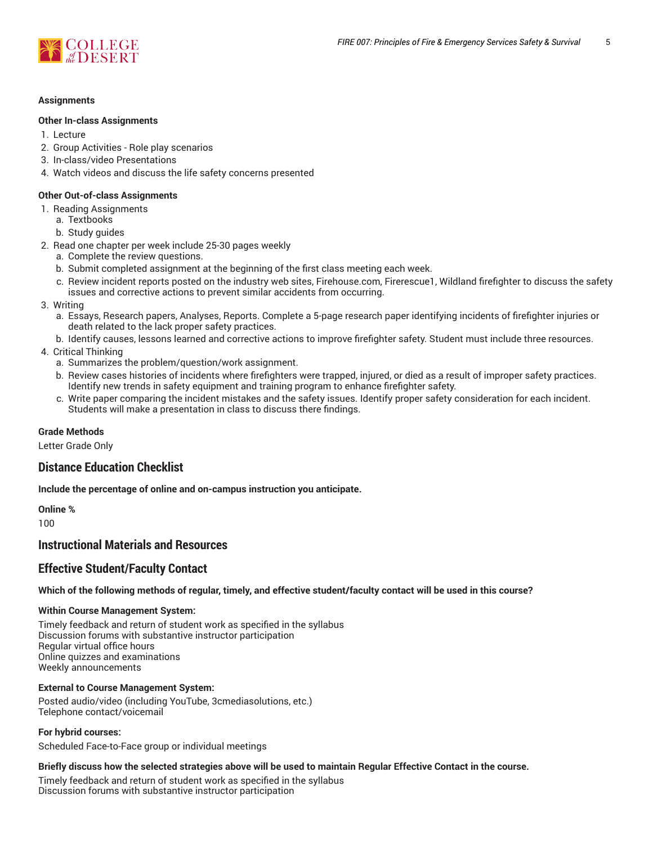

#### **Assignments**

#### **Other In-class Assignments**

- 1. Lecture
- 2. Group Activities Role play scenarios
- 3. In-class/video Presentations
- 4. Watch videos and discuss the life safety concerns presented

### **Other Out-of-class Assignments**

- 1. Reading Assignments
	- a. Textbooks
	- b. Study guides
- 2. Read one chapter per week include 25-30 pages weekly
	- a. Complete the review questions.
	- b. Submit completed assignment at the beginning of the first class meeting each week.
	- c. Review incident reports posted on the industry web sites, Firehouse.com, Firerescue1, Wildland firefighter to discuss the safety issues and corrective actions to prevent similar accidents from occurring.
- 3. Writing
	- a. Essays, Research papers, Analyses, Reports. Complete a 5-page research paper identifying incidents of firefighter injuries or death related to the lack proper safety practices.
	- b. Identify causes, lessons learned and corrective actions to improve firefighter safety. Student must include three resources.
- 4. Critical Thinking
	- a. Summarizes the problem/question/work assignment.
	- b. Review cases histories of incidents where firefighters were trapped, injured, or died as a result of improper safety practices. Identify new trends in safety equipment and training program to enhance firefighter safety.
	- c. Write paper comparing the incident mistakes and the safety issues. Identify proper safety consideration for each incident. Students will make a presentation in class to discuss there findings.

#### **Grade Methods**

Letter Grade Only

# **Distance Education Checklist**

**Include the percentage of online and on-campus instruction you anticipate.**

**Online %** 100

# **Instructional Materials and Resources**

# **Effective Student/Faculty Contact**

#### Which of the following methods of regular, timely, and effective student/faculty contact will be used in this course?

#### **Within Course Management System:**

Timely feedback and return of student work as specified in the syllabus Discussion forums with substantive instructor participation Regular virtual office hours Online quizzes and examinations Weekly announcements

#### **External to Course Management System:**

Posted audio/video (including YouTube, 3cmediasolutions, etc.) Telephone contact/voicemail

**For hybrid courses:**

Scheduled Face-to-Face group or individual meetings

#### Briefly discuss how the selected strategies above will be used to maintain Regular Effective Contact in the course.

Timely feedback and return of student work as specified in the syllabus Discussion forums with substantive instructor participation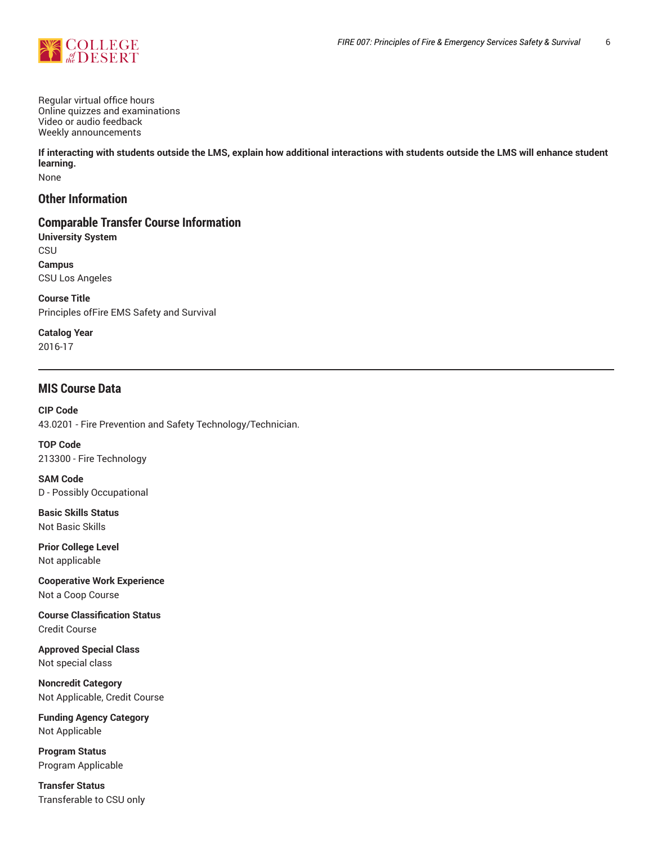

Regular virtual office hours Online quizzes and examinations Video or audio feedback Weekly announcements

**If interacting with students outside the LMS, explain how additional interactions with students outside the LMS will enhance student learning.**

None

# **Other Information**

# **Comparable Transfer Course Information**

**University System** CSU **Campus** CSU Los Angeles

**Course Title** Principles ofFire EMS Safety and Survival

**Catalog Year** 2016-17

# **MIS Course Data**

**CIP Code** 43.0201 - Fire Prevention and Safety Technology/Technician.

**TOP Code** 213300 - Fire Technology

**SAM Code** D - Possibly Occupational

**Basic Skills Status** Not Basic Skills

**Prior College Level** Not applicable

**Cooperative Work Experience** Not a Coop Course

**Course Classification Status** Credit Course

**Approved Special Class** Not special class

**Noncredit Category** Not Applicable, Credit Course

**Funding Agency Category** Not Applicable

**Program Status** Program Applicable

**Transfer Status** Transferable to CSU only